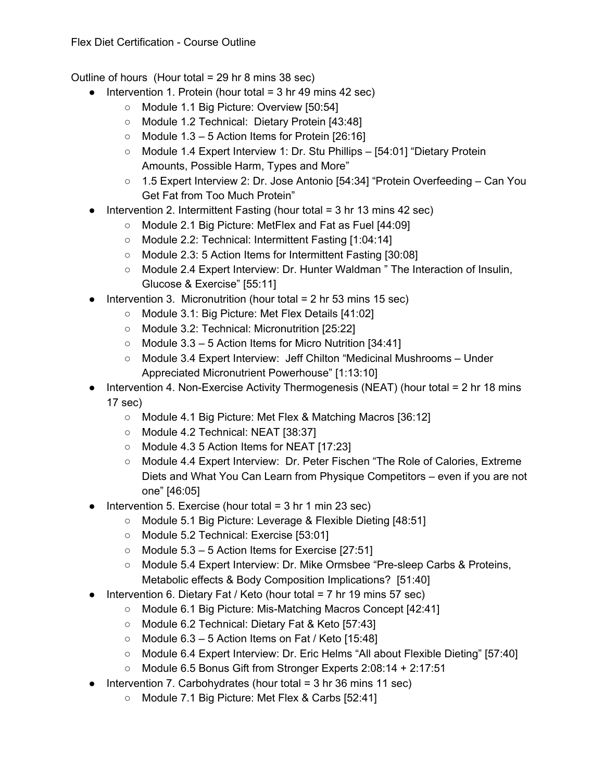Outline of hours (Hour total = 29 hr 8 mins 38 sec)

- $\bullet$  Intervention 1. Protein (hour total = 3 hr 49 mins 42 sec)
	- Module 1.1 Big Picture: Overview [50:54]
	- Module 1.2 Technical: Dietary Protein [43:48]
	- $\circ$  Module 1.3 5 Action Items for Protein [26:16]
	- Module 1.4 Expert Interview 1: Dr. Stu Phillips [54:01] "Dietary Protein Amounts, Possible Harm, Types and More"
	- 1.5 Expert Interview 2: Dr. Jose Antonio [54:34] "Protein Overfeeding Can You Get Fat from Too Much Protein"
- Intervention 2. Intermittent Fasting (hour total  $=$  3 hr 13 mins 42 sec)
	- Module 2.1 Big Picture: MetFlex and Fat as Fuel [44:09]
	- Module 2.2: Technical: Intermittent Fasting [1:04:14]
	- Module 2.3: 5 Action Items for Intermittent Fasting [30:08]
	- Module 2.4 Expert Interview: Dr. Hunter Waldman " The Interaction of Insulin, Glucose & Exercise" [55:11]
- $\bullet$  Intervention 3. Micronutrition (hour total = 2 hr 53 mins 15 sec)
	- Module 3.1: Big Picture: Met Flex Details [41:02]
	- Module 3.2: Technical: Micronutrition [25:22]
	- Module 3.3 5 Action Items for Micro Nutrition [34:41]
	- Module 3.4 Expert Interview: Jeff Chilton "Medicinal Mushrooms Under Appreciated Micronutrient Powerhouse" [1:13:10]
- Intervention 4. Non-Exercise Activity Thermogenesis (NEAT) (hour total = 2 hr 18 mins 17 sec)
	- Module 4.1 Big Picture: Met Flex & Matching Macros [36:12]
	- Module 4.2 Technical: NEAT [38:37]
	- Module 4.3 5 Action Items for NEAT [17:23]
	- Module 4.4 Expert Interview: Dr. Peter Fischen "The Role of Calories, Extreme Diets and What You Can Learn from Physique Competitors – even if you are not one" [46:05]
- $\bullet$  Intervention 5. Exercise (hour total = 3 hr 1 min 23 sec)
	- Module 5.1 Big Picture: Leverage & Flexible Dieting [48:51]
	- Module 5.2 Technical: Exercise [53:01]
	- $\circ$  Module 5.3 5 Action Items for Exercise [27:51]
	- Module 5.4 Expert Interview: Dr. Mike Ormsbee "Pre-sleep Carbs & Proteins, Metabolic effects & Body Composition Implications? [51:40]
- Intervention 6. Dietary Fat / Keto (hour total  $= 7$  hr 19 mins 57 sec)
	- Module 6.1 Big Picture: Mis-Matching Macros Concept [42:41]
	- Module 6.2 Technical: Dietary Fat & Keto [57:43]
	- $\circ$  Module 6.3 5 Action Items on Fat / Keto [15:48]
	- Module 6.4 Expert Interview: Dr. Eric Helms "All about Flexible Dieting" [57:40]
	- Module 6.5 Bonus Gift from Stronger Experts 2:08:14 + 2:17:51
- $\bullet$  Intervention 7. Carbohydrates (hour total = 3 hr 36 mins 11 sec)
	- Module 7.1 Big Picture: Met Flex & Carbs [52:41]